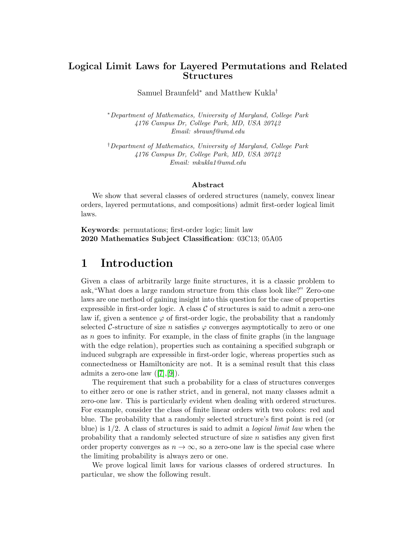## Logical Limit Laws for Layered Permutations and Related Structures

Samuel Braunfeld<sup>∗</sup> and Matthew Kukla†

<sup>∗</sup>Department of Mathematics, University of Maryland, College Park 4176 Campus Dr, College Park, MD, USA 20742 Email: sbraunf@umd.edu

†Department of Mathematics, University of Maryland, College Park 4176 Campus Dr, College Park, MD, USA 20742 Email: mkukla1@umd.edu

#### Abstract

We show that several classes of ordered structures (namely, convex linear orders, layered permutations, and compositions) admit first-order logical limit laws.

Keywords: permutations; first-order logic; limit law 2020 Mathematics Subject Classification: 03C13; 05A05

# 1 Introduction

Given a class of arbitrarily large finite structures, it is a classic problem to ask,"What does a large random structure from this class look like?" Zero-one laws are one method of gaining insight into this question for the case of properties expressible in first-order logic. A class  $C$  of structures is said to admit a zero-one law if, given a sentence  $\varphi$  of first-order logic, the probability that a randomly selected C-structure of size n satisfies  $\varphi$  converges asymptotically to zero or one as n goes to infinity. For example, in the class of finite graphs (in the language with the edge relation), properties such as containing a specified subgraph or induced subgraph are expressible in first-order logic, whereas properties such as connectedness or Hamiltonicity are not. It is a seminal result that this class admits a zero-one law  $([7],[9])$  $([7],[9])$  $([7],[9])$  $([7],[9])$  $([7],[9])$ .

The requirement that such a probability for a class of structures converges to either zero or one is rather strict, and in general, not many classes admit a zero-one law. This is particularly evident when dealing with ordered structures. For example, consider the class of finite linear orders with two colors: red and blue. The probability that a randomly selected structure's first point is red (or blue) is  $1/2$ . A class of structures is said to admit a *logical limit law* when the probability that a randomly selected structure of size  $n$  satisfies any given first order property converges as  $n \to \infty$ , so a zero-one law is the special case where the limiting probability is always zero or one.

We prove logical limit laws for various classes of ordered structures. In particular, we show the following result.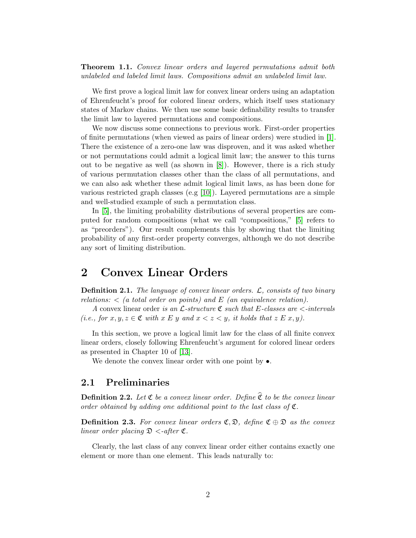**Theorem 1.1.** Convex linear orders and layered permutations admit both unlabeled and labeled limit laws. Compositions admit an unlabeled limit law.

We first prove a logical limit law for convex linear orders using an adaptation of Ehrenfeucht's proof for colored linear orders, which itself uses stationary states of Markov chains. We then use some basic definability results to transfer the limit law to layered permutations and compositions.

We now discuss some connections to previous work. First-order properties of finite permutations (when viewed as pairs of linear orders) were studied in [\[1\]](#page-11-0). There the existence of a zero-one law was disproven, and it was asked whether or not permutations could admit a logical limit law; the answer to this turns out to be negative as well (as shown in [\[8\]](#page-12-2)). However, there is a rich study of various permutation classes other than the class of all permutations, and we can also ask whether these admit logical limit laws, as has been done for various restricted graph classes (e.g [\[10\]](#page-12-3)). Layered permutations are a simple and well-studied example of such a permutation class.

In [\[5\]](#page-12-4), the limiting probability distributions of several properties are computed for random compositions (what we call "compositions," [\[5\]](#page-12-4) refers to as "preorders"). Our result complements this by showing that the limiting probability of any first-order property converges, although we do not describe any sort of limiting distribution.

## 2 Convex Linear Orders

**Definition 2.1.** The language of convex linear orders.  $\mathcal{L}$ , consists of two binary relations:  $\langle$  (a total order on points) and E (an equivalence relation).

A convex linear order is an  $\mathcal{L}\text{-}structure \mathfrak{C}$  such that E-classes are  $\lt$ -intervals (i.e., for  $x, y, z \in \mathfrak{C}$  with  $x \in y$  and  $x < z < y$ , it holds that  $z \in x, y$ ).

In this section, we prove a logical limit law for the class of all finite convex linear orders, closely following Ehrenfeucht's argument for colored linear orders as presented in Chapter 10 of [\[13\]](#page-12-5).

We denote the convex linear order with one point by  $\bullet$ .

### 2.1 Preliminaries

**Definition 2.2.** Let  $\mathfrak C$  be a convex linear order. Define  $\widehat{\mathfrak C}$  to be the convex linear order obtained by adding one additional point to the last class of  $\mathfrak{C}$ .

**Definition 2.3.** For convex linear orders  $\mathfrak{C}, \mathfrak{D}$ , define  $\mathfrak{C} \oplus \mathfrak{D}$  as the convex linear order placing  $\mathfrak{D}$  <-after  $\mathfrak{C}$ .

Clearly, the last class of any convex linear order either contains exactly one element or more than one element. This leads naturally to: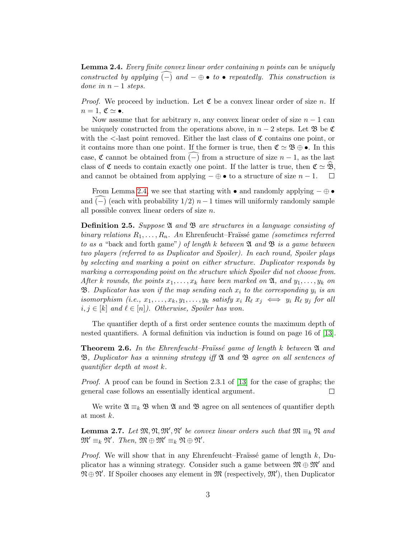<span id="page-2-0"></span>Lemma 2.4. Every finite convex linear order containing n points can be uniquely constructed by applying  $\overline{(-)}$  and  $-\oplus \bullet$  to  $\bullet$  repeatedly. This construction is done in  $n-1$  steps.

*Proof.* We proceed by induction. Let  $\mathfrak C$  be a convex linear order of size n. If  $n = 1, \mathfrak{C} \simeq \bullet.$ 

Now assume that for arbitrary n, any convex linear order of size  $n-1$  can be uniquely constructed from the operations above, in  $n-2$  steps. Let  $\mathfrak{B}$  be  $\mathfrak{C}$ with the  $\le$ -last point removed. Either the last class of  $\mathfrak C$  contains one point, or it contains more than one point. If the former is true, then  $\mathfrak{C} \simeq \mathfrak{B} \oplus \bullet$ . In this case,  $\mathfrak C$  cannot be obtained from (-) from a structure of size  $n-1$ , as the last class of  $\mathfrak C$  needs to contain exactly one point. If the latter is true, then  $\mathfrak C \simeq \mathfrak B$ , and cannot be obtained from applying  $-\oplus \bullet$  to a structure of size  $n-1$ . and cannot be obtained from applying  $-\oplus \bullet$  to a structure of size  $n-1$ .

From Lemma [2.4,](#page-2-0) we see that starting with • and randomly applying  $-\oplus \bullet$ and (-) (each with probability  $1/2$ ) n−1 times will uniformly randomly sample all possible convex linear orders of size n.

**Definition 2.5.** Suppose  $\mathfrak{A}$  and  $\mathfrak{B}$  are structures in a language consisting of binary relations  $R_1, \ldots, R_n$ . An Ehrenfeucht–Fraüssé game (sometimes referred to as a "back and forth game") of length k between  $\mathfrak A$  and  $\mathfrak B$  is a game between two players (referred to as Duplicator and Spoiler). In each round, Spoiler plays by selecting and marking a point on either structure. Duplicator responds by marking a corresponding point on the structure which Spoiler did not choose from. After k rounds, the points  $x_1, \ldots, x_k$  have been marked on  $\mathfrak{A}$ , and  $y_1, \ldots, y_k$  on **B**. Duplicator has won if the map sending each  $x_i$  to the corresponding  $y_i$  is an isomorphism (i.e.,  $x_1, \ldots, x_k, y_1, \ldots, y_k$  satisfy  $x_i R_\ell x_j \iff y_i R_\ell y_j$  for all  $i, j \in [k]$  and  $\ell \in [n]$ ). Otherwise, Spoiler has won.

The quantifier depth of a first order sentence counts the maximum depth of nested quantifiers. A formal definition via induction is found on page 16 of [\[13\]](#page-12-5).

**Theorem 2.6.** In the Ehrenfeucht–Fraüssé game of length k between  $\mathfrak{A}$  and  $\mathfrak{B}$ , Duplicator has a winning strategy iff  $\mathfrak{A}$  and  $\mathfrak{B}$  agree on all sentences of quantifier depth at most k.

Proof. A proof can be found in Section 2.3.1 of [\[13\]](#page-12-5) for the case of graphs; the general case follows an essentially identical argument.  $\Box$ 

We write  $\mathfrak{A} \equiv_k \mathfrak{B}$  when  $\mathfrak{A}$  and  $\mathfrak{B}$  agree on all sentences of quantifier depth at most k.

<span id="page-2-1"></span>**Lemma 2.7.** Let  $\mathfrak{M}, \mathfrak{M}, \mathfrak{M}'$  be convex linear orders such that  $\mathfrak{M} \equiv_k \mathfrak{N}$  and  $\mathfrak{M}' \equiv_k \mathfrak{N}'.$  Then,  $\mathfrak{M} \oplus \mathfrak{M}' \equiv_k \mathfrak{N} \oplus \mathfrak{N}'.$ 

*Proof.* We will show that in any Ehrenfeucht–Fraüssé game of length  $k$ , Duplicator has a winning strategy. Consider such a game between  $\mathfrak{M} \oplus \mathfrak{M}'$  and  $\mathfrak{N} \oplus \mathfrak{N}'$ . If Spoiler chooses any element in  $\mathfrak{M}$  (respectively,  $\mathfrak{M}'$ ), then Duplicator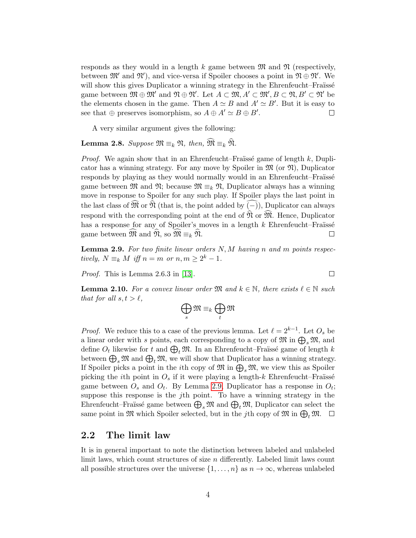responds as they would in a length k game between  $\mathfrak{M}$  and  $\mathfrak{N}$  (respectively, between  $\mathfrak{M}'$  and  $\mathfrak{N}'$ ), and vice-versa if Spoiler chooses a point in  $\mathfrak{N} \oplus \mathfrak{N}'$ . We will show this gives Duplicator a winning strategy in the Ehrenfeucht–Fraüssé game between  $\mathfrak{M} \oplus \mathfrak{M}'$  and  $\mathfrak{N} \oplus \mathfrak{N}'$ . Let  $A \subset \mathfrak{M}, A' \subset \mathfrak{M}', B \subset \mathfrak{N}, B' \subset \mathfrak{N}'$  be the elements chosen in the game. Then  $A \simeq B$  and  $A' \simeq B'$ . But it is easy to see that  $\oplus$  preserves isomorphism, so  $A \oplus A' \simeq B \oplus B'$ .  $\Box$ 

A very similar argument gives the following:

<span id="page-3-1"></span>Lemma 2.8. Suppose  $\mathfrak{M} \equiv_k \mathfrak{N}$ , then,  $\widehat{\mathfrak{M}} \equiv_k \widehat{\mathfrak{N}}$ .

*Proof.* We again show that in an Ehrenfeucht–Fraüssé game of length k, Duplicator has a winning strategy. For any move by Spoiler in  $\mathfrak{M}$  (or  $\mathfrak{N}$ ), Duplicator responds by playing as they would normally would in an Ehrenfeucht–Fraüsse game between  $\mathfrak{M}$  and  $\mathfrak{N}$ ; because  $\mathfrak{M} \equiv_k \mathfrak{N}$ , Duplicator always has a winning move in response to Spoiler for any such play. If Spoiler plays the last point in the last class of  $\mathfrak{\hat{M}}$  or  $\mathfrak{\hat{N}}$  (that is, the point added by (–)), Duplicator can always respond with the corresponding point at the end of  $\widehat{\mathfrak{N}}$  or  $\widehat{\mathfrak{M}}$ . Hence, Duplicator has a response for any of Spoiler's moves in a length  $k$  Ehrenfeucht–Fraüssé game between  $\mathfrak{M}$  and  $\mathfrak{N},$  so  $\mathfrak{M} \equiv_k \mathfrak{N}$ .  $\Box$ 

<span id="page-3-0"></span>**Lemma 2.9.** For two finite linear orders  $N, M$  having n and m points respectively,  $N \equiv_k M$  iff  $n = m$  or  $n, m \geq 2^k - 1$ .

 $\Box$ 

Proof. This is Lemma 2.6.3 in [\[13\]](#page-12-5).

<span id="page-3-2"></span>**Lemma 2.10.** For a convex linear order  $\mathfrak{M}$  and  $k \in \mathbb{N}$ , there exists  $\ell \in \mathbb{N}$  such that for all  $s, t > \ell$ ,

$$
\bigoplus_s \mathfrak{M} \equiv_k \bigoplus_t \mathfrak{M}
$$

*Proof.* We reduce this to a case of the previous lemma. Let  $\ell = 2^{k-1}$ . Let  $O_s$  be a linear order with s points, each corresponding to a copy of  $\mathfrak{M}$  in  $\bigoplus_s \mathfrak{M}$ , and define  $O_t$  likewise for  $t$  and  $\bigoplus_t \mathfrak{M}$ . In an Ehrenfeucht–Fraïssé game of length  $k$ between  $\bigoplus_s \mathfrak{M}$  and  $\bigoplus_t \mathfrak{M}$ , we will show that Duplicator has a winning strategy. If Spoiler picks a point in the *i*th copy of  $\mathfrak{M}$  in  $\bigoplus_{s}\mathfrak{M}$ , we view this as Spoiler picking the *i*th point in  $O_s$  if it were playing a length-k Ehrenfeucht–Fraüssé game between  $O_s$  and  $O_t$ . By Lemma [2.9,](#page-3-0) Duplicator has a response in  $O_t$ ; suppose this response is the  $j$ th point. To have a winning strategy in the Ehrenfeucht–Fraïssé game between  $\bigoplus_s \mathfrak{M}$  and  $\bigoplus_t \mathfrak{M}$ , Duplicator can select the same point in  $\mathfrak{M}$  which Spoiler selected, but in the *j*th copy of  $\mathfrak{M}$  in  $\bigoplus_t \mathfrak{M}$ .  $\Box$ 

### 2.2 The limit law

It is in general important to note the distinction between labeled and unlabeled limit laws, which count structures of size  $n$  differently. Labeled limit laws count all possible structures over the universe  $\{1, \ldots, n\}$  as  $n \to \infty$ , whereas unlabeled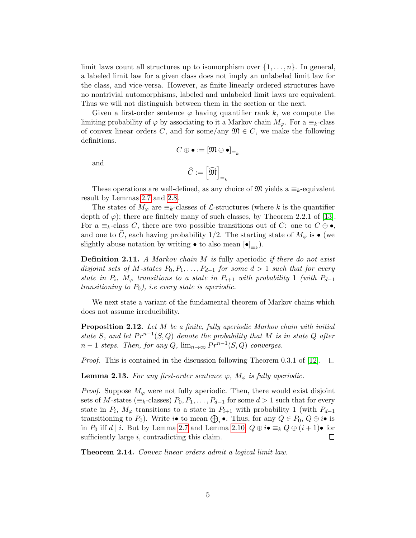limit laws count all structures up to isomorphism over  $\{1, \ldots, n\}$ . In general, a labeled limit law for a given class does not imply an unlabeled limit law for the class, and vice-versa. However, as finite linearly ordered structures have no nontrivial automorphisms, labeled and unlabeled limit laws are equivalent. Thus we will not distinguish between them in the section or the next.

Given a first-order sentence  $\varphi$  having quantifier rank k, we compute the limiting probability of  $\varphi$  by associating to it a Markov chain  $M_{\varphi}$ . For a  $\equiv_k$ -class of convex linear orders C, and for some/any  $\mathfrak{M} \in C$ , we make the following definitions.  $C \oplus \bullet := [\mathfrak{M} \oplus \bullet]_{=_k}$ 

and

$$
\widehat{C}:=\left[\widehat{\mathfrak{M}}\right]_{\equiv_k}
$$

These operations are well-defined, as any choice of  $\mathfrak{M}$  yields a  $\equiv_k$ -equivalent result by Lemmas [2.7](#page-2-1) and [2.8.](#page-3-1)

The states of  $M_{\varphi}$  are  $\equiv_k$ -classes of  $\mathcal{L}$ -structures (where k is the quantifier depth of  $\varphi$ ); there are finitely many of such classes, by Theorem 2.2.1 of [\[13\]](#page-12-5). For a  $\equiv_k$ -class C, there are two possible transitions out of C: one to  $C \oplus \bullet$ , and one to  $\hat{C}$ , each having probability 1/2. The starting state of  $M_{\varphi}$  is • (we slightly abuse notation by writing • to also mean  $[\bullet]_{\equiv_k}$ ).

**Definition 2.11.** A Markov chain M is fully aperiodic if there do not exist disjoint sets of M-states  $P_0, P_1, \ldots, P_{d-1}$  for some  $d > 1$  such that for every state in  $P_i$ ,  $M_{\varphi}$  transitions to a state in  $P_{i+1}$  with probability 1 (with  $P_{d-1}$ transitioning to  $P_0$ ), i.e every state is aperiodic.

We next state a variant of the fundamental theorem of Markov chains which does not assume irreducibility.

<span id="page-4-0"></span>Proposition 2.12. Let M be a finite, fully aperiodic Markov chain with initial state S, and let  $Pr^{n-1}(S, Q)$  denote the probability that M is in state Q after  $n-1$  steps. Then, for any  $Q$ ,  $\lim_{n\to\infty} Pr^{n-1}(S,Q)$  converges.

*Proof.* This is contained in the discussion following Theorem 0.3.1 of [\[12\]](#page-12-6).  $\Box$ 

**Lemma 2.13.** For any first-order sentence  $\varphi$ ,  $M_{\varphi}$  is fully aperiodic.

*Proof.* Suppose  $M_{\varphi}$  were not fully aperiodic. Then, there would exist disjoint sets of M-states ( $\equiv_k$ -classes)  $P_0, P_1, \ldots, P_{d-1}$  for some  $d > 1$  such that for every state in  $P_i$ ,  $M_{\varphi}$  transitions to a state in  $P_{i+1}$  with probability 1 (with  $P_{d-1}$ transitioning to  $P_0$ ). Write  $i \bullet$  to mean  $\bigoplus_i \bullet$ . Thus, for any  $Q \in P_0$ ,  $Q \oplus i \bullet$  is in  $P_0$  iff d | i. But by Lemma [2.7](#page-2-1) and Lemma [2.10,](#page-3-2)  $Q \oplus i \bullet \equiv_k Q \oplus (i+1) \bullet$  for sufficiently large *i*, contradicting this claim.

Theorem 2.14. Convex linear orders admit a logical limit law.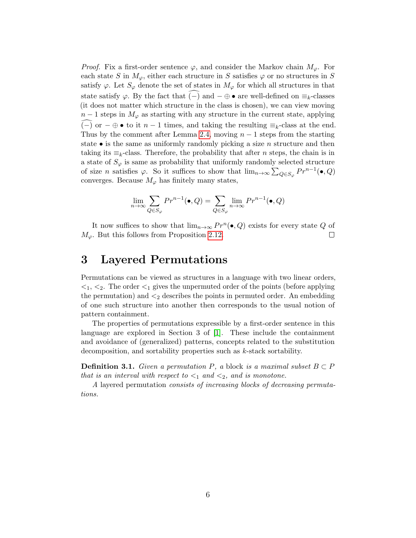*Proof.* Fix a first-order sentence  $\varphi$ , and consider the Markov chain  $M_{\varphi}$ . For each state S in  $M_{\varphi}$ , either each structure in S satisfies  $\varphi$  or no structures in S satisfy  $\varphi$ . Let  $S_{\varphi}$  denote the set of states in  $M_{\varphi}$  for which all structures in that state satisfy  $\varphi$ . By the fact that  $(-)$  and  $-\oplus \bullet$  are well-defined on  $\equiv_k$ -classes (it does not matter which structure in the class is chosen), we can view moving  $n-1$  steps in  $M_{\varphi}$  as starting with any structure in the current state, applying  $(-)$  or  $-\oplus \bullet$  to it  $n-1$  times, and taking the resulting  $\equiv_k$ -class at the end. Thus by the comment after Lemma [2.4,](#page-2-0) moving  $n-1$  steps from the starting state  $\bullet$  is the same as uniformly randomly picking a size *n* structure and then taking its  $\equiv_k$ -class. Therefore, the probability that after *n* steps, the chain is in a state of  $S_{\varphi}$  is same as probability that uniformly randomly selected structure of size *n* satisfies  $\varphi$ . So it suffices to show that  $\lim_{n\to\infty}\sum_{Q\in S_{\varphi}}Pr^{n-1}(\bullet, Q)$ converges. Because  $M_{\varphi}$  has finitely many states,

$$
\lim_{n \to \infty} \sum_{Q \in S_{\varphi}} Pr^{n-1}(\bullet, Q) = \sum_{Q \in S_{\varphi}} \lim_{n \to \infty} Pr^{n-1}(\bullet, Q)
$$

It now suffices to show that  $\lim_{n\to\infty} Pr^n(\bullet, Q)$  exists for every state Q of  $M_{\varphi}$ . But this follows from Proposition [2.12.](#page-4-0)  $\Box$ 

# 3 Layered Permutations

Permutations can be viewed as structures in a language with two linear orders,  $\langle 1, \langle 2, \rangle$ . The order  $\langle 1 \rangle$  gives the unpermuted order of the points (before applying the permutation) and  $\leq_2$  describes the points in permuted order. An embedding of one such structure into another then corresponds to the usual notion of pattern containment.

The properties of permutations expressible by a first-order sentence in this language are explored in Section 3 of [\[1\]](#page-11-0). These include the containment and avoidance of (generalized) patterns, concepts related to the substitution decomposition, and sortability properties such as k-stack sortability.

**Definition 3.1.** Given a permutation P, a block is a maximal subset  $B \subset P$ that is an interval with respect to  $\lt_1$  and  $\lt_2$ , and is monotone.

A layered permutation consists of increasing blocks of decreasing permutations.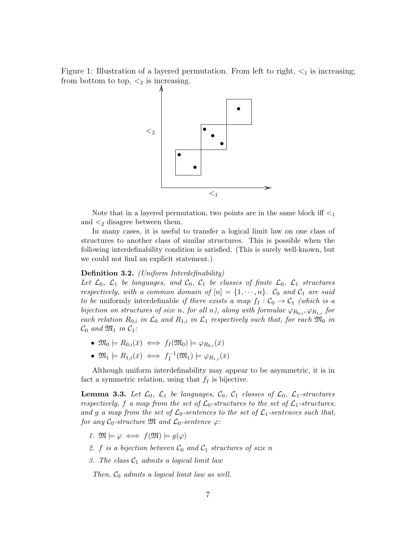Figure 1: Illustration of a layered permutation. From left to right,  $\lt_1$  is increasing; from bottom to top,  $\lt_2$  is increasing.



Note that in a layered permutation, two points are in the same block iff  $\leq_1$ and  $\lt_2$  disagree between them.

In many cases, it is useful to transfer a logical limit law on one class of structures to another class of similar structures. This is possible when the following interdefinability condition is satisfied. (This is surely well-known, but we could not find an explicit statement.)

#### <span id="page-6-1"></span>Definition 3.2. (Uniform Interdefinability)

Let  $\mathcal{L}_0$ ,  $\mathcal{L}_1$  be languages, and  $\mathcal{C}_0$ ,  $\mathcal{C}_1$  be classes of finite  $\mathcal{L}_0$ ,  $\mathcal{L}_1$  structures respectively, with a common domain of  $[n] = \{1, \dots, n\}$ .  $\mathcal{C}_0$  and  $\mathcal{C}_1$  are said to be uniformly interdefinable if there exists a map  $f_I : C_0 \to C_1$  (which is a bijection on structures of size n, for all n), along with formulae  $\varphi_{R_{0,i}}, \varphi_{R_{1,i}}$  for each relation  $R_{0,i}$  in  $\mathcal{L}_0$  and  $R_{1,i}$  in  $\mathcal{L}_1$  respectively such that, for each  $\mathfrak{M}_0$  in  $\mathcal{C}_0$  and  $\mathfrak{M}_1$  in  $\mathcal{C}_1$ :

- $\mathfrak{M}_0 \models R_{0,i}(\bar{x}) \iff f_I(\mathfrak{M}_0) \models \varphi_{R_{0,i}}(\bar{x})$
- $\mathfrak{M}_1 \models R_{1,i}(\bar x) \iff f_I^{-1}$  $\mathcal{C}_I^{-1}(\mathfrak{M}_1) \models \varphi_{R_{1,i}}(\bar{x})$

Although uniform interdefinability may appear to be asymmetric, it is in fact a symmetric relation, using that  $f_I$  is bijective.

<span id="page-6-0"></span>**Lemma 3.3.** Let  $\mathcal{L}_0$ ,  $\mathcal{L}_1$  be languages,  $\mathcal{C}_0$ ,  $\mathcal{C}_1$  classes of  $\mathcal{L}_0$ ,  $\mathcal{L}_1$ -structures respectively, f a map from the set of  $\mathcal{L}_0$ -structures to the set of  $\mathcal{L}_1$ -structures, and g a map from the set of  $\mathcal{L}_0$ -sentences to the set of  $\mathcal{L}_1$ -sentences such that, for any  $C_0$ -structure  $\mathfrak{M}$  and  $\mathcal{L}_0$ -sentence  $\varphi$ :

- 1.  $\mathfrak{M} \models \varphi \iff f(\mathfrak{M}) \models q(\varphi)$
- 2. f is a bijection between  $C_0$  and  $C_1$  structures of size n
- 3. The class  $C_1$  admits a logical limit law

Then,  $C_0$  admits a logical limit law as well.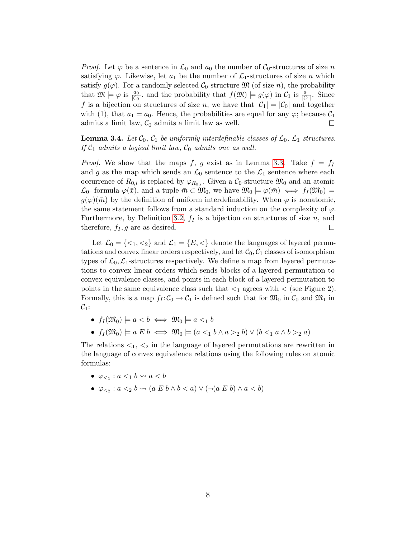*Proof.* Let  $\varphi$  be a sentence in  $\mathcal{L}_0$  and  $a_0$  the number of  $\mathcal{C}_0$ -structures of size n satisfying  $\varphi$ . Likewise, let  $a_1$  be the number of  $\mathcal{L}_1$ -structures of size n which satisfy  $g(\varphi)$ . For a randomly selected  $\mathcal{C}_0$ -structure  $\mathfrak{M}$  (of size n), the probability that  $\mathfrak{M} \models \varphi$  is  $\frac{a_0}{|\mathcal{C}_0|}$ , and the probability that  $f(\mathfrak{M}) \models g(\varphi)$  in  $\mathcal{C}_1$  is  $\frac{a_1}{|\mathcal{C}_1|}$ . Since f is a bijection on structures of size n, we have that  $|\mathcal{C}_1| = |\mathcal{C}_0|$  and together with (1), that  $a_1 = a_0$ . Hence, the probabilities are equal for any  $\varphi$ ; because  $\mathcal{C}_1$ admits a limit law,  $C_0$  admits a limit law as well.  $\Box$ 

<span id="page-7-0"></span>**Lemma 3.4.** Let  $C_0$ ,  $C_1$  be uniformly interdefinable classes of  $C_0$ ,  $C_1$  structures. If  $C_1$  admits a logical limit law,  $C_0$  admits one as well.

*Proof.* We show that the maps f, g exist as in Lemma [3.3.](#page-6-0) Take  $f = f_I$ and g as the map which sends an  $\mathcal{L}_0$  sentence to the  $\mathcal{L}_1$  sentence where each occurrence of  $R_{0,i}$  is replaced by  $\varphi_{R_{0,i}}$ . Given a  $C_0$ -structure  $\mathfrak{M}_0$  and an atomic  $\mathcal{L}_0$ - formula  $\varphi(\bar{x})$ , and a tuple  $\bar{m} \subset \mathfrak{M}_0$ , we have  $\mathfrak{M}_0 \models \varphi(\bar{m}) \iff f_I(\mathfrak{M}_0) \models$  $g(\varphi)(\bar{m})$  by the definition of uniform interdefinability. When  $\varphi$  is nonatomic, the same statement follows from a standard induction on the complexity of  $\varphi$ . Furthermore, by Definition [3.2,](#page-6-1)  $f_I$  is a bijection on structures of size n, and therefore,  $f_I, g$  are as desired.  $\Box$ 

Let  $\mathcal{L}_0 = \{ \langle 1, \langle 2 \rangle \}$  and  $\mathcal{L}_1 = \{ E, \langle \rangle \}$  denote the languages of layered permutations and convex linear orders respectively, and let  $C_0$ ,  $C_1$  classes of isomorphism types of  $\mathcal{L}_0$ ,  $\mathcal{L}_1$ -structures respectively. We define a map from layered permutations to convex linear orders which sends blocks of a layered permutation to convex equivalence classes, and points in each block of a layered permutation to points in the same equivalence class such that  $\langle 1 \rangle$  agrees with  $\langle$  (see Figure 2). Formally, this is a map  $f_1: \mathcal{C}_0 \to \mathcal{C}_1$  is defined such that for  $\mathfrak{M}_0$  in  $\mathcal{C}_0$  and  $\mathfrak{M}_1$  in  $C_1$ :

- $f_I(\mathfrak{M}_0) \models a \lt b \iff \mathfrak{M}_0 \models a \lt_1 b$
- $f_I(\mathfrak{M}_0) \models a \to b \iff \mathfrak{M}_0 \models (a <_1 b \land a >_2 b) \lor (b <_1 a \land b >_2 a)$

The relations  $\lt_1$ ,  $\lt_2$  in the language of layered permutations are rewritten in the language of convex equivalence relations using the following rules on atomic formulas:

- $\varphi_{\leq 1} : a \leq_1 b \leadsto a \leq b$
- $\varphi_{\leq_2} : a \leq_2 b \leadsto (a \mathrel{E} b \land b \lt a) \lor (\neg (a \mathrel{E} b) \land a \lt b)$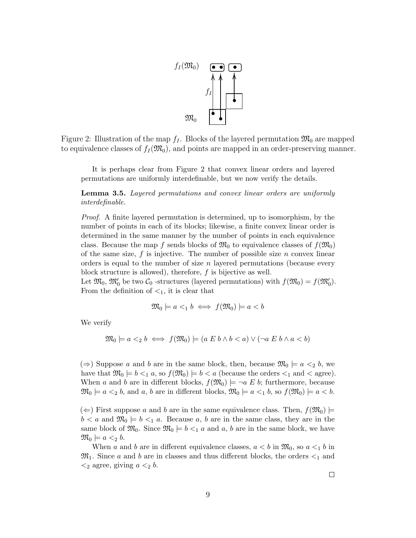

Figure 2: Illustration of the map  $f_I$ . Blocks of the layered permutation  $\mathfrak{M}_0$  are mapped to equivalence classes of  $f_I(\mathfrak{M}_0)$ , and points are mapped in an order-preserving manner.

It is perhaps clear from Figure 2 that convex linear orders and layered permutations are uniformly interdefinable, but we now verify the details.

<span id="page-8-0"></span>Lemma 3.5. Layered permutations and convex linear orders are uniformly interdefinable.

Proof. A finite layered permutation is determined, up to isomorphism, by the number of points in each of its blocks; likewise, a finite convex linear order is determined in the same manner by the number of points in each equivalence class. Because the map f sends blocks of  $\mathfrak{M}_0$  to equivalence classes of  $f(\mathfrak{M}_0)$ of the same size,  $f$  is injective. The number of possible size  $n$  convex linear orders is equal to the number of size n layered permutations (because every block structure is allowed), therefore,  $f$  is bijective as well.

Let  $\mathfrak{M}_0$ ,  $\mathfrak{M}'_0$  be two  $\mathcal{C}_0$  -structures (layered permutations) with  $f(\mathfrak{M}_0) = f(\mathfrak{M}'_0)$ . From the definition of  $\lt_1$ , it is clear that

$$
\mathfrak{M}_0 \models a \lt_1 b \iff f(\mathfrak{M}_0) \models a \lt b
$$

We verify

$$
\mathfrak{M}_0 \models a \langle b \iff f(\mathfrak{M}_0) \models (a \ E \ b \land b \langle a \rangle \lor (\neg a \ E \ b \land a \langle b \rangle)
$$

(⇒) Suppose a and b are in the same block, then, because  $\mathfrak{M}_0$   $\models a <_2 b$ , we have that  $\mathfrak{M}_0 \models b \leq_1 a$ , so  $f(\mathfrak{M}_0) \models b \leq a$  (because the orders  $\leq_1$  and  $\leq$  agree). When a and b are in different blocks,  $f(\mathfrak{M}_0) \models \neg a \mathcal{L} b$ ; furthermore, because  $\mathfrak{M}_0 \models a \leq_2 b$ , and a, b are in different blocks,  $\mathfrak{M}_0 \models a \leq_1 b$ , so  $f(\mathfrak{M}_0) \models a \leq b$ .

 $(\Leftarrow)$  First suppose a and b are in the same equivalence class. Then,  $f(\mathfrak{M}_0)$   $\models$  $b < a$  and  $\mathfrak{M}_0 \models b <_1 a$ . Because a, b are in the same class, they are in the same block of  $\mathfrak{M}_0$ . Since  $\mathfrak{M}_0 \models b <_1 a$  and a, b are in the same block, we have  $\mathfrak{M}_0 \models a \leq_2 b.$ 

When a and b are in different equivalence classes,  $a < b$  in  $\mathfrak{M}_0$ , so  $a <_1 b$  in  $\mathfrak{M}_1$ . Since a and b are in classes and thus different blocks, the orders  $\leq_1$  and  $\langle 2 \rangle$  agree, giving  $a \langle 2 \rangle b$ .

 $\Box$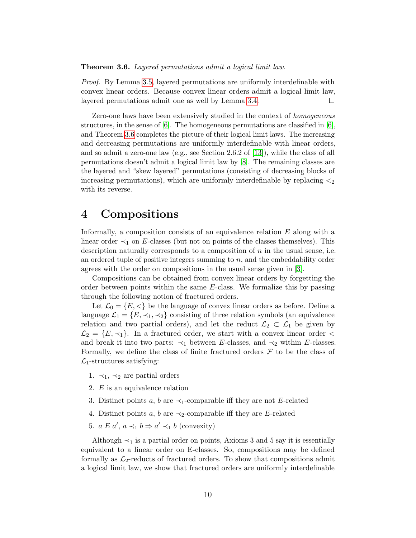#### <span id="page-9-0"></span>Theorem 3.6. Layered permutations admit a logical limit law.

Proof. By Lemma [3.5,](#page-8-0) layered permutations are uniformly interdefinable with convex linear orders. Because convex linear orders admit a logical limit law, layered permutations admit one as well by Lemma [3.4.](#page-7-0)  $\Box$ 

Zero-one laws have been extensively studied in the context of homogeneous structures, in the sense of  $[6]$ . The homogeneous permutations are classified in  $[6]$ , and Theorem [3.6](#page-9-0) completes the picture of their logical limit laws. The increasing and decreasing permutations are uniformly interdefinable with linear orders, and so admit a zero-one law (e.g., see Section 2.6.2 of [\[13\]](#page-12-5)), while the class of all permutations doesn't admit a logical limit law by [\[8\]](#page-12-2). The remaining classes are the layered and "skew layered" permutations (consisting of decreasing blocks of increasing permutations), which are uniformly interdefinable by replacing  $\lt_2$ with its reverse.

## 4 Compositions

Informally, a composition consists of an equivalence relation E along with a linear order  $\prec_1$  on E-classes (but not on points of the classes themselves). This description naturally corresponds to a composition of  $n$  in the usual sense, i.e. an ordered tuple of positive integers summing to  $n$ , and the embeddability order agrees with the order on compositions in the usual sense given in [\[3\]](#page-12-8).

Compositions can be obtained from convex linear orders by forgetting the order between points within the same E-class. We formalize this by passing through the following notion of fractured orders.

Let  $\mathcal{L}_0 = \{E, \langle \rangle\}$  be the language of convex linear orders as before. Define a language  $\mathcal{L}_1 = \{E, \prec_1, \prec_2\}$  consisting of three relation symbols (an equivalence relation and two partial orders), and let the reduct  $\mathcal{L}_2 \subset \mathcal{L}_1$  be given by  $\mathcal{L}_2 = \{E, \prec_1\}.$  In a fractured order, we start with a convex linear order  $\lt$ and break it into two parts:  $\prec_1$  between E-classes, and  $\prec_2$  within E-classes. Formally, we define the class of finite fractured orders  $\mathcal F$  to be the class of  $\mathcal{L}_1$ -structures satisfying:

- 1.  $\prec_1$ ,  $\prec_2$  are partial orders
- 2. E is an equivalence relation
- 3. Distinct points a, b are  $\prec_1$ -comparable iff they are not E-related
- 4. Distinct points a, b are  $\prec_2$ -comparable iff they are E-related
- 5.  $a E a', a \prec_1 b \Rightarrow a' \prec_1 b$  (convexity)

Although  $\prec_1$  is a partial order on points, Axioms 3 and 5 say it is essentially equivalent to a linear order on E-classes. So, compositions may be defined formally as  $\mathcal{L}_2$ -reducts of fractured orders. To show that compositions admit a logical limit law, we show that fractured orders are uniformly interdefinable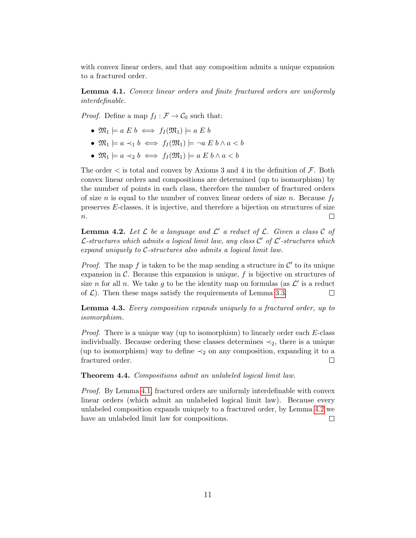with convex linear orders, and that any composition admits a unique expansion to a fractured order.

<span id="page-10-0"></span>Lemma 4.1. Convex linear orders and finite fractured orders are uniformly interdefinable.

*Proof.* Define a map  $f_I : \mathcal{F} \to \mathcal{C}_0$  such that:

- $\mathfrak{M}_1 \models a \mathrel{E} b \iff f_I(\mathfrak{M}_1) \models a \mathrel{E} b$
- $\mathfrak{M}_1 \models a \prec_1 b \iff f_I(\mathfrak{M}_1) \models \neg a \mathrel{E} b \land a \lt b$
- $\mathfrak{M}_1 \models a \prec_2 b \iff f_I(\mathfrak{M}_1) \models a \mathbb{E} b \land a \lt b$

The order  $\lt$  is total and convex by Axioms 3 and 4 in the definition of  $\mathcal{F}$ . Both convex linear orders and compositions are determined (up to isomorphism) by the number of points in each class, therefore the number of fractured orders of size *n* is equal to the number of convex linear orders of size *n*. Because  $f_I$ preserves E-classes, it is injective, and therefore a bijection on structures of size  $\boldsymbol{n}.$  $\Box$ 

<span id="page-10-1"></span>**Lemma 4.2.** Let  $\mathcal{L}$  be a language and  $\mathcal{L}'$  a reduct of  $\mathcal{L}$ . Given a class  $\mathcal{C}$  of  $\mathcal{L}$ -structures which admits a logical limit law, any class  $\mathcal{C}'$  of  $\mathcal{L}'$ -structures which expand uniquely to C-structures also admits a logical limit law.

*Proof.* The map f is taken to be the map sending a structure in  $\mathcal{C}'$  to its unique expansion in  $\mathcal C$ . Because this expansion is unique,  $f$  is bijective on structures of size *n* for all *n*. We take *g* to be the identity map on formulas (as  $\mathcal{L}'$  is a reduct of  $\mathcal{L}$ ). Then these maps satisfy the requirements of Lemma [3.3.](#page-6-0)  $\Box$ 

Lemma 4.3. Every composition expands uniquely to a fractured order, up to isomorphism.

Proof. There is a unique way (up to isomorphism) to linearly order each E-class individually. Because ordering these classes determines  $\prec_2$ , there is a unique (up to isomorphism) way to define  $\prec_2$  on any composition, expanding it to a fractured order.  $\Box$ 

Theorem 4.4. Compositions admit an unlabeled logical limit law.

Proof. By Lemma [4.1,](#page-10-0) fractured orders are uniformly interdefinable with convex linear orders (which admit an unlabeled logical limit law). Because every unlabeled composition expands uniquely to a fractured order, by Lemma [4.2](#page-10-1) we have an unlabeled limit law for compositions.  $\Box$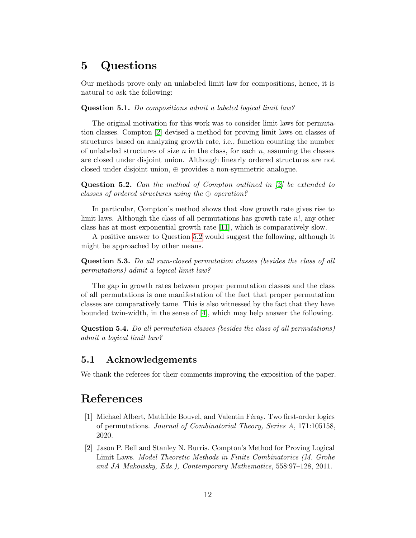# 5 Questions

Our methods prove only an unlabeled limit law for compositions, hence, it is natural to ask the following:

#### Question 5.1. Do compositions admit a labeled logical limit law?

The original motivation for this work was to consider limit laws for permutation classes. Compton [\[2\]](#page-11-1) devised a method for proving limit laws on classes of structures based on analyzing growth rate, i.e., function counting the number of unlabeled structures of size  $n$  in the class, for each  $n$ , assuming the classes are closed under disjoint union. Although linearly ordered structures are not closed under disjoint union, ⊕ provides a non-symmetric analogue.

<span id="page-11-2"></span>Question 5.2. Can the method of Compton outlined in [\[2\]](#page-11-1) be extended to classes of ordered structures using the  $\oplus$  operation?

In particular, Compton's method shows that slow growth rate gives rise to limit laws. Although the class of all permutations has growth rate n!, any other class has at most exponential growth rate [\[11\]](#page-12-9), which is comparatively slow.

A positive answer to Question [5.2](#page-11-2) would suggest the following, although it might be approached by other means.

Question 5.3. Do all sum-closed permutation classes (besides the class of all permutations) admit a logical limit law?

The gap in growth rates between proper permutation classes and the class of all permutations is one manifestation of the fact that proper permutation classes are comparatively tame. This is also witnessed by the fact that they have bounded twin-width, in the sense of [\[4\]](#page-12-10), which may help answer the following.

Question 5.4. Do all permutation classes (besides the class of all permutations) admit a logical limit law?

## 5.1 Acknowledgements

We thank the referees for their comments improving the exposition of the paper.

# References

- <span id="page-11-0"></span>[1] Michael Albert, Mathilde Bouvel, and Valentin Féray. Two first-order logics of permutations. Journal of Combinatorial Theory, Series A, 171:105158, 2020.
- <span id="page-11-1"></span>[2] Jason P. Bell and Stanley N. Burris. Compton's Method for Proving Logical Limit Laws. Model Theoretic Methods in Finite Combinatorics (M. Grohe and JA Makowsky, Eds.), Contemporary Mathematics, 558:97–128, 2011.